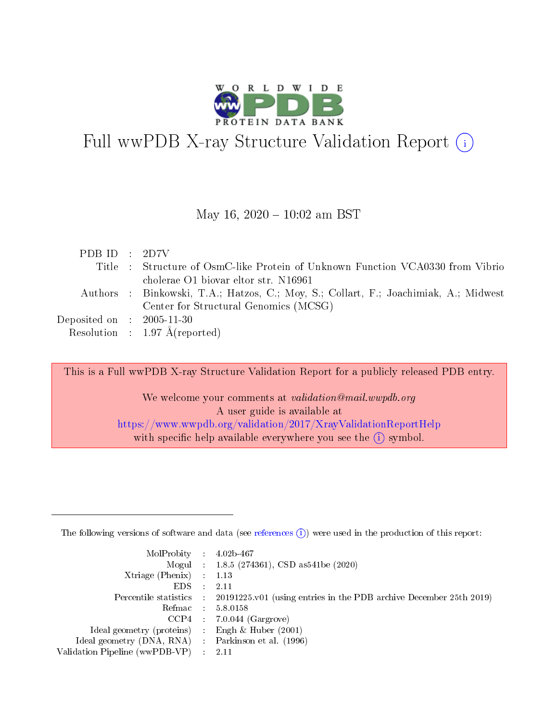

# Full wwPDB X-ray Structure Validation Report (i)

#### May 16,  $2020 - 10:02$  am BST

| PDB ID : $2D7V$                |                                                                                      |
|--------------------------------|--------------------------------------------------------------------------------------|
|                                | Title : Structure of OsmC-like Protein of Unknown Function VCA0330 from Vibrio       |
|                                | cholerae O1 biovar eltor str. N16961                                                 |
|                                | Authors : Binkowski, T.A.; Hatzos, C.; Moy, S.; Collart, F.; Joachimiak, A.; Midwest |
|                                | Center for Structural Genomics (MCSG)                                                |
| Deposited on $\;$ : 2005-11-30 |                                                                                      |
|                                | Resolution : $1.97 \text{ Å}$ (reported)                                             |

This is a Full wwPDB X-ray Structure Validation Report for a publicly released PDB entry.

We welcome your comments at validation@mail.wwpdb.org A user guide is available at <https://www.wwpdb.org/validation/2017/XrayValidationReportHelp> with specific help available everywhere you see the  $(i)$  symbol.

The following versions of software and data (see [references](https://www.wwpdb.org/validation/2017/XrayValidationReportHelp#references)  $(1)$ ) were used in the production of this report:

| $MolProbability$ : 4.02b-467                       |               |                                                                                            |
|----------------------------------------------------|---------------|--------------------------------------------------------------------------------------------|
|                                                    |               | Mogul : $1.8.5$ (274361), CSD as 541be (2020)                                              |
| Xtriage (Phenix) $: 1.13$                          |               |                                                                                            |
| EDS.                                               | $\mathcal{L}$ | -2.11                                                                                      |
|                                                    |               | Percentile statistics : 20191225.v01 (using entries in the PDB archive December 25th 2019) |
|                                                    |               | Refmac : 5.8.0158                                                                          |
|                                                    |               | $CCP4$ 7.0.044 (Gargrove)                                                                  |
| Ideal geometry (proteins) : Engh $\&$ Huber (2001) |               |                                                                                            |
| Ideal geometry (DNA, RNA) Parkinson et al. (1996)  |               |                                                                                            |
| Validation Pipeline (wwPDB-VP) : 2.11              |               |                                                                                            |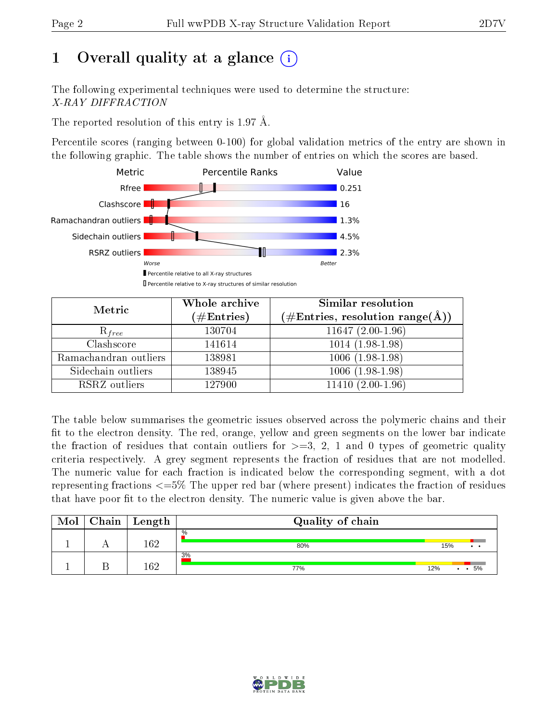# 1 [O](https://www.wwpdb.org/validation/2017/XrayValidationReportHelp#overall_quality)verall quality at a glance  $(i)$

The following experimental techniques were used to determine the structure: X-RAY DIFFRACTION

The reported resolution of this entry is 1.97 Å.

Percentile scores (ranging between 0-100) for global validation metrics of the entry are shown in the following graphic. The table shows the number of entries on which the scores are based.



| Metric                | Whole archive        | Similar resolution                                                     |
|-----------------------|----------------------|------------------------------------------------------------------------|
|                       | $(\#\text{Entries})$ | $(\#\text{Entries},\,\text{resolution}\,\,\text{range}(\textup{\AA}))$ |
| $R_{free}$            | 130704               | $11647(2.00-1.96)$                                                     |
| Clashscore            | 141614               | $1014(1.98-1.98)$                                                      |
| Ramachandran outliers | 138981               | $1006(1.98-1.98)$                                                      |
| Sidechain outliers    | 138945               | $1006(1.98-1.98)$                                                      |
| RSRZ outliers         | 127900               | $11410(2.00-1.96)$                                                     |

The table below summarises the geometric issues observed across the polymeric chains and their fit to the electron density. The red, orange, yellow and green segments on the lower bar indicate the fraction of residues that contain outliers for  $>=3, 2, 1$  and 0 types of geometric quality criteria respectively. A grey segment represents the fraction of residues that are not modelled. The numeric value for each fraction is indicated below the corresponding segment, with a dot representing fractions <=5% The upper red bar (where present) indicates the fraction of residues that have poor fit to the electron density. The numeric value is given above the bar.

| Mol | Chain | ∣ Length | Quality of chain |                        |
|-----|-------|----------|------------------|------------------------|
|     |       | 162      | %<br>80%         | 15%<br>$\cdot$ $\cdot$ |
|     |       | 169      | 3%<br>77%        | 5%<br>12%              |

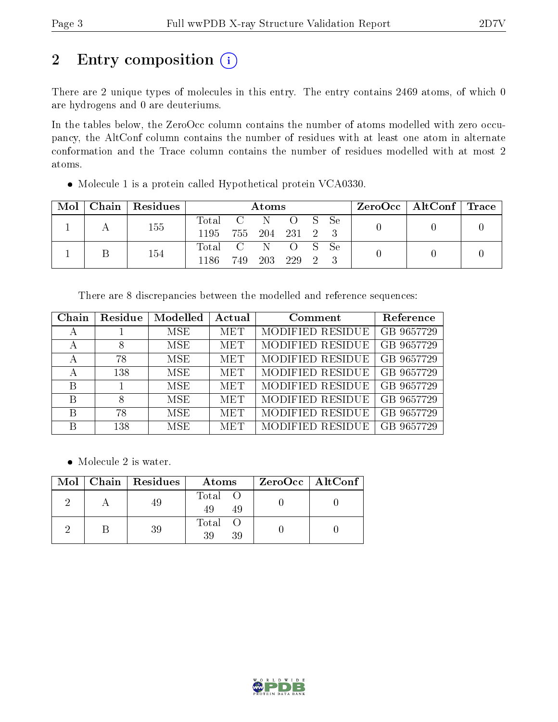# 2 Entry composition (i)

There are 2 unique types of molecules in this entry. The entry contains 2469 atoms, of which 0 are hydrogens and 0 are deuteriums.

In the tables below, the ZeroOcc column contains the number of atoms modelled with zero occupancy, the AltConf column contains the number of residues with at least one atom in alternate conformation and the Trace column contains the number of residues modelled with at most 2 atoms.

| $\mathrm{Mol}^+$ |  | Chain   Residues | Atoms            |                 |       |         |  |  | $\rm ZeroOcc$   Alt $\rm Conf$   Trace |  |  |
|------------------|--|------------------|------------------|-----------------|-------|---------|--|--|----------------------------------------|--|--|
|                  |  | 155              | Total C N O S Se |                 |       |         |  |  |                                        |  |  |
|                  |  | 1195             |                  | 755 204 231 2 3 |       |         |  |  |                                        |  |  |
|                  |  |                  | Total C N O S Se |                 |       |         |  |  |                                        |  |  |
|                  |  | 154              | 1186             | 749             | - 203 | 229 2 3 |  |  |                                        |  |  |

• Molecule 1 is a protein called Hypothetical protein VCA0330.

There are 8 discrepancies between the modelled and reference sequences:

| Chain | Residue | Modelled   | Actual     | Comment          | Reference  |
|-------|---------|------------|------------|------------------|------------|
| А     |         | MSE        | <b>MET</b> | MODIFIED RESIDUE | GB 9657729 |
| А     |         | <b>MSE</b> | <b>MET</b> | MODIFIED RESIDUE | GB 9657729 |
| A     | 78      | <b>MSE</b> | <b>MET</b> | MODIFIED RESIDUE | GB 9657729 |
| А     | 138     | MSE.       | <b>MET</b> | MODIFIED RESIDUE | GB 9657729 |
| B     |         | MSE.       | <b>MET</b> | MODIFIED RESIDUE | GB 9657729 |
| B     |         | MSE.       | <b>MET</b> | MODIFIED RESIDUE | GB 9657729 |
| B     | 78      | MSE.       | <b>MET</b> | MODIFIED RESIDUE | GB 9657729 |
| В     | 138     | MSE.       | <b>MET</b> | MODIFIED RESIDUE | GB 9657729 |

• Molecule 2 is water.

|  | $Mol$   Chain   Residues | Atoms                | ZeroOcc   AltConf |
|--|--------------------------|----------------------|-------------------|
|  |                          | Total O<br>49<br>-49 |                   |
|  | 39                       | Total O<br>39<br>39  |                   |

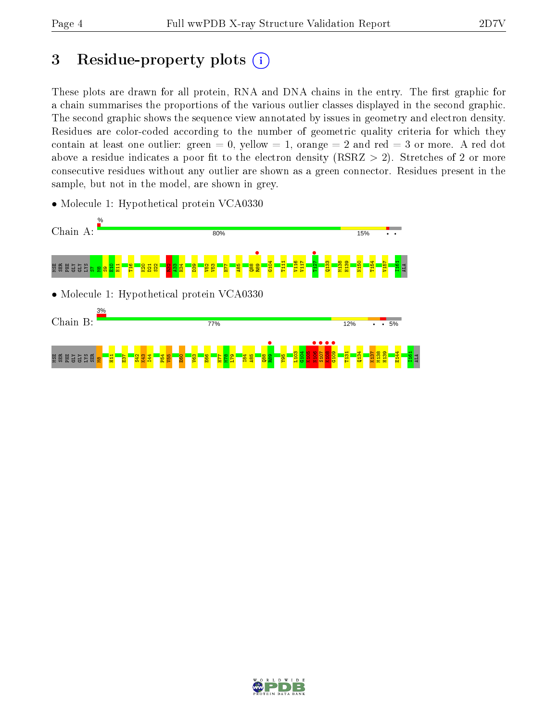# 3 Residue-property plots  $(i)$

These plots are drawn for all protein, RNA and DNA chains in the entry. The first graphic for a chain summarises the proportions of the various outlier classes displayed in the second graphic. The second graphic shows the sequence view annotated by issues in geometry and electron density. Residues are color-coded according to the number of geometric quality criteria for which they contain at least one outlier: green  $= 0$ , yellow  $= 1$ , orange  $= 2$  and red  $= 3$  or more. A red dot above a residue indicates a poor fit to the electron density (RSRZ  $> 2$ ). Stretches of 2 or more consecutive residues without any outlier are shown as a green connector. Residues present in the sample, but not in the model, are shown in grey.



• Molecule 1: Hypothetical protein VCA0330

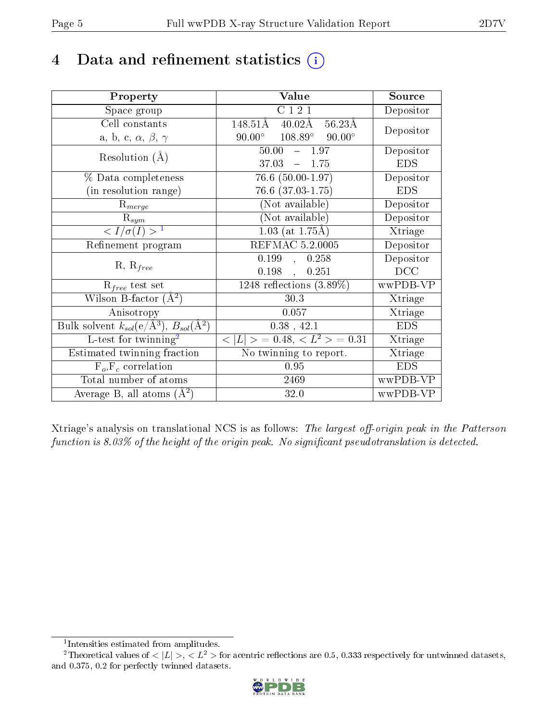## 4 Data and refinement statistics  $(i)$

| Property                                                                 | Value                                                        | Source     |
|--------------------------------------------------------------------------|--------------------------------------------------------------|------------|
| Space group                                                              | $\overline{C121}$                                            | Depositor  |
| Cell constants                                                           | $148.51\text{\AA}$<br>$40.02\text{\AA}$<br>$56.23\text{\AA}$ | Depositor  |
| a, b, c, $\alpha$ , $\beta$ , $\gamma$                                   | $108.89^\circ$<br>$90.00^{\circ}$<br>$90.00^{\circ}$         |            |
| Resolution $(A)$                                                         | $50.00 - 1.97$                                               | Depositor  |
|                                                                          | 37.03<br>$-1.75$                                             | <b>EDS</b> |
| % Data completeness                                                      | $\overline{76.6}$ (50.00-1.97)                               | Depositor  |
| (in resolution range)                                                    | $76.6$ $(37.03-1.75)$                                        | <b>EDS</b> |
| $R_{merge}$                                                              | (Not available)                                              | Depositor  |
| $\mathrm{R}_{sym}$                                                       | (Not available)                                              | Depositor  |
| $\langle I/\sigma(I) \rangle^{-1}$                                       | $1.03$ (at 1.75Å)                                            | Xtriage    |
| Refinement program                                                       | <b>REFMAC 5.2.0005</b>                                       | Depositor  |
| $R, R_{free}$                                                            | 0.199<br>0.258<br>$\overline{\mathcal{L}}$                   | Depositor  |
|                                                                          | 0.198,<br>0.251                                              | DCC        |
| $R_{free}$ test set                                                      | $1248$ reflections $(3.89\%)$                                | wwPDB-VP   |
| Wilson B-factor $(A^2)$                                                  | 30.3                                                         | Xtriage    |
| Anisotropy                                                               | 0.057                                                        | Xtriage    |
| Bulk solvent $k_{sol}(\mathrm{e}/\mathrm{A}^3),$ $B_{sol}(\mathrm{A}^2)$ | $0.38$ , 42.1                                                | <b>EDS</b> |
| L-test for twinning <sup>2</sup>                                         | $< L >$ = 0.48, $< L2 >$ = 0.31                              | Xtriage    |
| Estimated twinning fraction                                              | $\overline{\text{No}}$ twinning to report.                   | Xtriage    |
| $F_o, F_c$ correlation                                                   | 0.95                                                         | <b>EDS</b> |
| Total number of atoms                                                    | 2469                                                         | wwPDB-VP   |
| Average B, all atoms $(A^2)$                                             | 32.0                                                         | wwPDB-VP   |

Xtriage's analysis on translational NCS is as follows: The largest off-origin peak in the Patterson function is  $8.03\%$  of the height of the origin peak. No significant pseudotranslation is detected.

<sup>&</sup>lt;sup>2</sup>Theoretical values of  $\langle |L| \rangle$ ,  $\langle L^2 \rangle$  for acentric reflections are 0.5, 0.333 respectively for untwinned datasets, and 0.375, 0.2 for perfectly twinned datasets.



<span id="page-4-1"></span><span id="page-4-0"></span><sup>1</sup> Intensities estimated from amplitudes.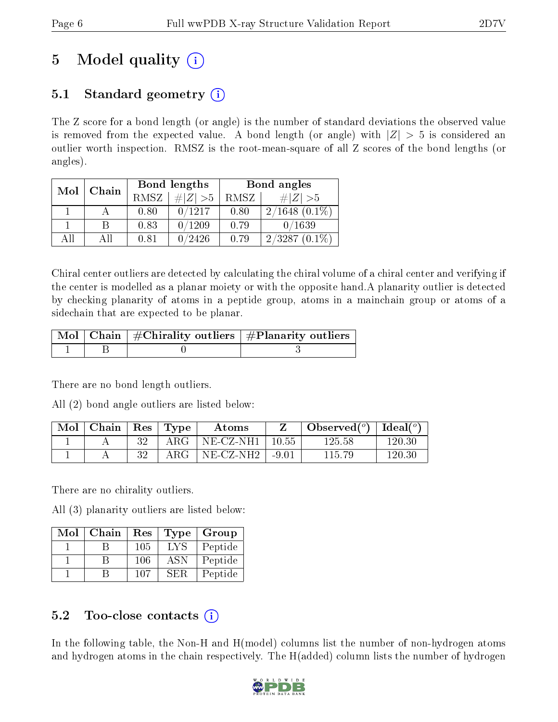# 5 Model quality  $(i)$

### 5.1 Standard geometry  $(i)$

The Z score for a bond length (or angle) is the number of standard deviations the observed value is removed from the expected value. A bond length (or angle) with  $|Z| > 5$  is considered an outlier worth inspection. RMSZ is the root-mean-square of all Z scores of the bond lengths (or angles).

| Mol | Chain |             | Bond lengths | Bond angles |                     |  |
|-----|-------|-------------|--------------|-------------|---------------------|--|
|     |       | <b>RMSZ</b> | # $ Z >5$    | RMSZ        | # $ Z  > 5$         |  |
|     |       | 0.80        | 0/1217       | 0.80        | $2/1648$ $(0.1\%)$  |  |
|     | В     | 0.83        | 0/1209       | 0.79        | 0/1639              |  |
| ΑĦ  | Аll   | 0.81        | 0/2426       | 0.79        | 2/3287<br>$(0.1\%)$ |  |

Chiral center outliers are detected by calculating the chiral volume of a chiral center and verifying if the center is modelled as a planar moiety or with the opposite hand.A planarity outlier is detected by checking planarity of atoms in a peptide group, atoms in a mainchain group or atoms of a sidechain that are expected to be planar.

|  | $\lceil \,{\rm Mol} \mid {\rm Chain} \rceil$ #Chirality outliers $\lceil$ #Planarity outliers $\lceil$ |
|--|--------------------------------------------------------------------------------------------------------|
|  |                                                                                                        |

There are no bond length outliers.

All (2) bond angle outliers are listed below:

| Mol | $\vert$ Chain $\vert$ Res $\vert$ Type |     |              | Atoms       |         | Observed $(^\circ)$ | $\mid$ Ideal( $^o$ ) |
|-----|----------------------------------------|-----|--------------|-------------|---------|---------------------|----------------------|
|     |                                        | າ ດ | $\rm{ARG}^-$ | $NE-CZ-NH1$ | 10.55   | 125.58              | 120-30               |
|     |                                        | 9 ດ | $\rm{ARG}$   | NE-CZ-NH2   | $-9.01$ | 115.79              | 120.30               |

There are no chirality outliers.

All (3) planarity outliers are listed below:

| $\operatorname{Mol}$ | Chain | Res | <b>Type</b> | Group   |
|----------------------|-------|-----|-------------|---------|
|                      |       | 105 | LYS         | Peptide |
|                      |       | 106 | ASN         | Peptide |
|                      |       | 107 | SER.        | Peptide |

### $5.2$  Too-close contacts  $(i)$

In the following table, the Non-H and H(model) columns list the number of non-hydrogen atoms and hydrogen atoms in the chain respectively. The H(added) column lists the number of hydrogen

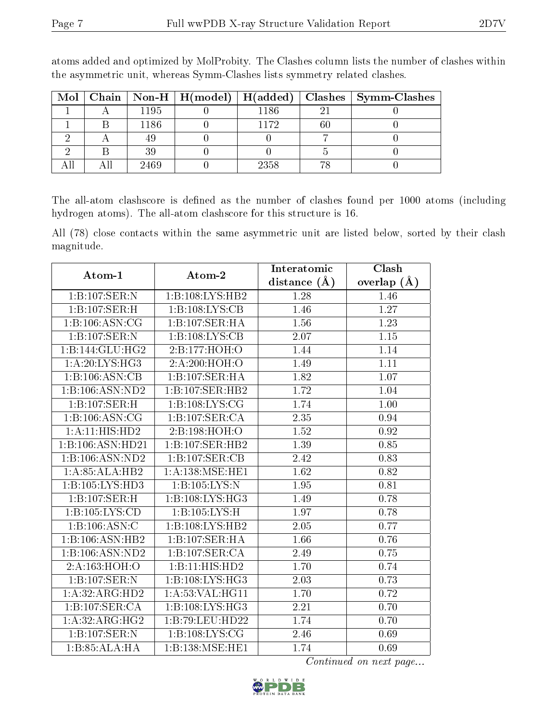|  |      |      |    | Mol   Chain   Non-H   H(model)   H(added)   Clashes   Symm-Clashes |
|--|------|------|----|--------------------------------------------------------------------|
|  | 1195 | 1186 |    |                                                                    |
|  | 1186 | 1172 | 60 |                                                                    |
|  |      |      |    |                                                                    |
|  | 39   |      |    |                                                                    |
|  | 2469 | 2358 | ĦС |                                                                    |

atoms added and optimized by MolProbity. The Clashes column lists the number of clashes within the asymmetric unit, whereas Symm-Clashes lists symmetry related clashes.

The all-atom clashscore is defined as the number of clashes found per 1000 atoms (including hydrogen atoms). The all-atom clashscore for this structure is 16.

All (78) close contacts within the same asymmetric unit are listed below, sorted by their clash magnitude.

| Atom-1                               | Atom-2                      | Interatomic       | Clash             |
|--------------------------------------|-----------------------------|-------------------|-------------------|
|                                      |                             | distance $(A)$    | overlap $(A)$     |
| 1:B:107:SER:N                        | 1:B:108:LYS:HB2             | 1.28              | 1.46              |
| 1:B:107:SER:H                        | 1:B:108:LYS:CB              | 1.46              | 1.27              |
| 1:B:106:ASN:CG                       | 1:B:107:SER:HA              | 1.56              | $\overline{1.23}$ |
| 1:B:107:SER:N                        | 1:B:108:LYS:CB              | 2.07              | 1.15              |
| 1:B:144:GLU:HG2                      | 2:B:177:HOH:O               | 1.44              | 1.14              |
| 1: A:20: LYS: HG3                    | 2:A:200:HOH:O               | 1.49              | 1.11              |
| 1:B:106:ASN:CB                       | $1:B:107:SE\overline{R:HA}$ | 1.82              | 1.07              |
| $1:B:106: \overline{ASN:ND2}$        | 1:B:107:SER:HB2             | 1.72              | 1.04              |
| 1:B:107:SER:H                        | 1: B: 108: LYS: CG          | 1.74              | 1.00              |
| 1:B:106:ASN:CG                       | 1:B:107:SER:CA              | 2.35              | 0.94              |
| $1:A:11:HIS:H\overline{D2}$          | 2:B:198:HOH:O               | 1.52              | 0.92              |
| 1:B:106:ASN:HD21                     | 1:B:107:SER:HB2             | 1.39              | 0.85              |
| 1:B:106:ASN:ND2                      | 1:B:107:SER:CB              | 2.42              | 0.83              |
| 1:A:85:ALA:HB2                       | 1: A:138: MSE:HE1           | 1.62              | 0.82              |
| 1:B:105:LYS:HD3                      | 1:B:105:LYS:N               | 1.95              | 0.81              |
| 1:B:107:SER:H                        | 1:B:108:LYS:HG3             | 1.49              | 0.78              |
| 1: B: 105: LYS: CD                   | 1:B:105:LYS:H               | 1.97              | 0.78              |
| 1:B:106:ASN:C                        | 1:B:108:LYS:HB2             | 2.05              | 0.77              |
| 1:B:106:ASN:HB2                      | 1:B:107:SER:HA              | 1.66              | 0.76              |
| $1:B:106: \overline{\text{ASN:ND2}}$ | 1:B:107:SER:CA              | 2.49              | 0.75              |
| 2: A: 163:HOH: O                     | 1:B:11:HIS:HD2              | 1.70              | 0.74              |
| 1:B:107:SER:N                        | 1:B:108:LYS:HG3             | 2.03              | 0.73              |
| 1: A:32: ARG:HD2                     | 1:A:53:VAL:HG11             | 1.70              | 0.72              |
| 1:B:107:SER:CA                       | 1:B:108:LYS:HG3             | $\overline{2.21}$ | 0.70              |
| 1:A:32:ARG:HG2                       | 1:B:79:LEU:HD22             | 1.74              | 0.70              |
| 1:B:107:SER:N                        | 1:B:108:LYS:CG              | 2.46              | 0.69              |
| 1:B:85:ALA:HA                        | 1:B:138:MSE:HE1             | 1.74              | 0.69              |

Continued on next page...

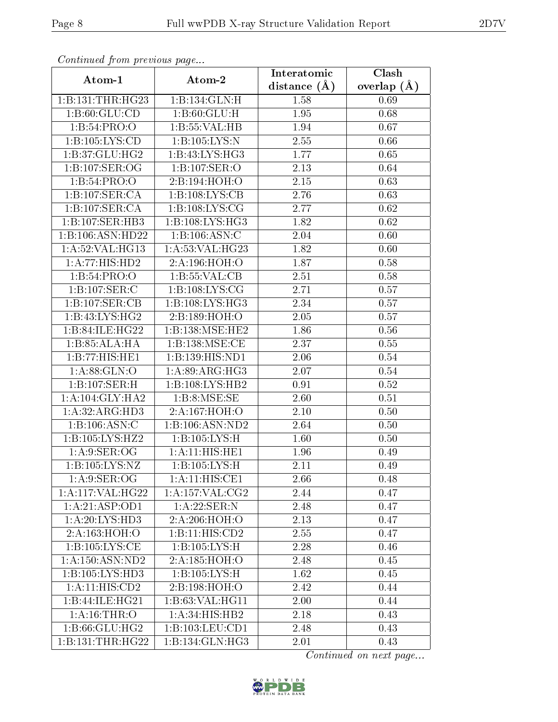| Commaca jibin previous page |                            | Interatomic    | Clash           |  |
|-----------------------------|----------------------------|----------------|-----------------|--|
| Atom-1                      | Atom-2                     | distance $(A)$ | overlap $(\AA)$ |  |
| 1:B:131:THR:HG23            | 1:B:134:GLN:H              | 1.58           | 0.69            |  |
| 1: B:60: GLU:CD             | 1: B:60: GLU: H            | 1.95           | 0.68            |  |
| 1:B:54:PRO:O                | 1:B:55:VAL:HB              | 1.94           | 0.67            |  |
| 1:B:105:LYS:CD              | 1:B:105:LYS:N              | 2.55           | 0.66            |  |
| 1:B:37:GLU:HG2              | 1:B:43:LYS:HG3             | 1.77           | 0.65            |  |
| 1:B:107:SER:OG              | 1:B:107:SER:O              | 2.13           | 0.64            |  |
| 1:B:54:PRO:O                | 2:B:194:HOH:O              | 2.15           | 0.63            |  |
| 1:B:107:SER:CA              | 1:B:108:LYS:CB             | 2.76           | 0.63            |  |
| 1:B:107:SER:CA              | 1:B:108:LYS:CG             | 2.77           | 0.62            |  |
| 1:B:107:SER:HB3             | 1: B: 108: LYS: HG3        | 1.82           | 0.62            |  |
| 1:B:106:ASN:HD22            | 1: B: 106: ASN: C          | 2.04           | 0.60            |  |
| 1:A:52:VAL:HG13             | 1: A:53: VAL:HG23          | 1.82           | 0.60            |  |
| 1:A:77:HIS:HD2              | 2:A:196:HOH:O              | 1.87           | 0.58            |  |
| 1:B:54:PRO:O                | 1: B: 55: VAL: CB          | 2.51           | 0.58            |  |
| 1:B:107:SER:C               | 1:B:108:LYS:CG             | 2.71           | 0.57            |  |
| 1:B:107:SER:CB              | 1:B:108:LYS:HG3            | 2.34           | 0.57            |  |
| 1:B:43:LYS:HG2              | 2:B:189:HOH:O              | 2.05           | 0.57            |  |
| 1:B:84:ILE:HG22             | 1:B:138:MSE:HE2            | 1.86           | 0.56            |  |
| 1:B:85:ALA:HA               | 1:B:138:MSE:CE             | 2.37           | 0.55            |  |
| 1:B:77:HIS:HE1              | 1:B:139:HIS:ND1            | 2.06           | 0.54            |  |
| 1: A:88: GLN:O              | 1:A:89:ARG:HG3             | 2.07           | 0.54            |  |
| 1:B:107:SER:H               | 1:B:108:LYS:HB2            | 0.91           | 0.52            |  |
| 1: A:104: GLY:HA2           | 1:B:8:MSE:SE               | 2.60           | 0.51            |  |
| 1: A:32: ARG:HD3            | 2:A:167:HOH:O              | $2.10\,$       | 0.50            |  |
| 1: B: 106: ASN: C           | 1:B:106:ASN:ND2            | 2.64           | 0.50            |  |
| 1:B:105:LYS:HZ2             | 1:B:105:LYS:H              | 1.60           | 0.50            |  |
| 1: A:9: SER:OG              | 1:A:11:HIS:HE1             | 1.96           | 0.49            |  |
| 1:B:105:LYS:NZ              | $1:B:105:LYS:\overline{H}$ | 2.11           | 0.49            |  |
| 1: A:9: SER:OG              | 1:A:11:HIS:CE1             | 2.66           | 0.48            |  |
| 1:A:117:VAL:HG22            | 1: A:157: VAL:CG2          | 2.44           | 0.47            |  |
| 1:A:21:ASP:OD1              | 1:A:22:SER:N               | 2.48           | 0.47            |  |
| 1: A:20: LYS:HD3            | 2:A:206:HOH:O              | 2.13           | 0.47            |  |
| 2:A:163:HOH:O               | 1:B:11:HIS:CD2             | 2.55           | 0.47            |  |
| 1:B:105:LYS:CE              | 1:B:105:LYS:H              | 2.28           | 0.46            |  |
| 1: A: 150: ASN: ND2         | 2:A:185:HOH:O              | 2.48           | 0.45            |  |
| 1:B:105:LYS:HD3             | 1:B:105:LYS:H              | 1.62           | 0.45            |  |
| 1:A:11:HIS:CD2              | 2:B:198:HOH:O              | 2.42           | 0.44            |  |
| 1:B:44:ILE:HG21             | 1:B:63:VAL:HG11            | 2.00           | 0.44            |  |
| 1: A:16:THR:O               | 1: A:34: HIS: HB2          | 2.18           | 0.43            |  |
| 1:B:66:GLU:HG2              | 1:B:103:LEU:CD1            | 2.48           | 0.43            |  |
| 1:B:131:THR:HG22            | 1:B:134:GLN:HG3            | 2.01           | 0.43            |  |

Continued from previous page.

Continued on next page...

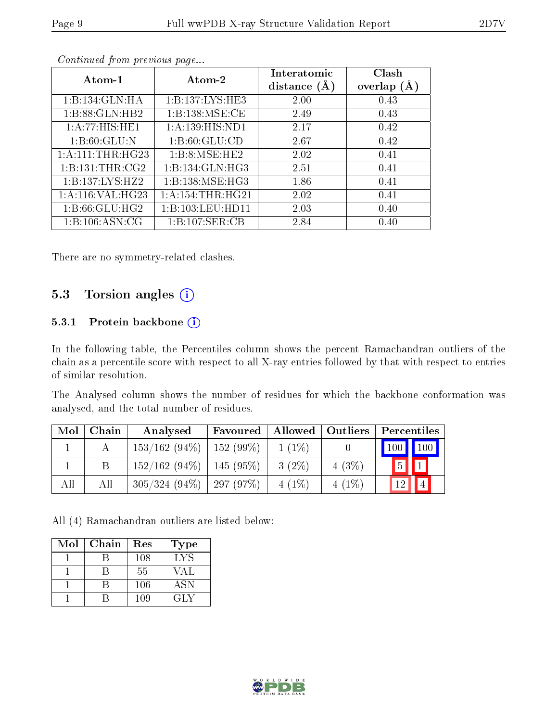| Atom-1               | Atom-2              | Interatomic<br>distance $(A)$ | Clash<br>overlap $(A)$ |
|----------------------|---------------------|-------------------------------|------------------------|
| 1:B:134:GLN:HA       | 1:B:137:LYS:HE3     | 2.00                          | 0.43                   |
| 1:B:88:GLN:HB2       | 1:B:138:MSE:CE      | 2.49                          | 0.43                   |
| 1:A:77:HIS:HE1       | 1:A:139:HIS:ND1     | 2.17                          | 0.42                   |
| 1: B:60: GLU:N       | 1: B:60: GLU:CD     | 2.67                          | 0.42                   |
| 1: A: 111: THR: HG23 | 1:B:8:MSE:HE2       | 2.02                          | 0.41                   |
| 1: B: 131: THR: CG2  | 1: B: 134: GLN: HG3 | 2.51                          | 0.41                   |
| 1:B:137:LYS:HZ2      | 1:B:138:MSE:HG3     | 1.86                          | 0.41                   |
| 1:A:116:VAL:HG23     | 1: A:154:THR:HG21   | 2.02                          | 0.41                   |
| 1: B:66: GLU: HG2    | 1:B:103:LEU:HDI1    | 2.03                          | 0.40                   |
| 1:B:106:ASN:CG       | 1:B:107:SER:CB      | 2.84                          | 0.40                   |

Continued from previous page...

There are no symmetry-related clashes.

#### 5.3 Torsion angles (i)

#### 5.3.1 Protein backbone (i)

In the following table, the Percentiles column shows the percent Ramachandran outliers of the chain as a percentile score with respect to all X-ray entries followed by that with respect to entries of similar resolution.

The Analysed column shows the number of residues for which the backbone conformation was analysed, and the total number of residues.

| Mol | Chain | Analysed                      | Favoured        |          | Allowed   Outliers | Percentiles                              |
|-----|-------|-------------------------------|-----------------|----------|--------------------|------------------------------------------|
|     |       | $153/162(94\%)$               | $152(99\%)$     | $1(1\%)$ |                    | $\mid$ 100 $\mid$ 100 $\mid$             |
|     |       | 152/162(94%)                  | $\pm 145$ (95%) | $3(2\%)$ | 4(3%)              | $\boxed{5}$<br>$\parallel$ 1 $\parallel$ |
| All | All   | $305/324$ (94\%)   297 (97\%) |                 | $4(1\%)$ | $4(1\%)$           | 4 <br>12                                 |

All (4) Ramachandran outliers are listed below:

| Mol | Chain | Res | Type       |
|-----|-------|-----|------------|
|     |       | 108 | LYS        |
|     |       | 55  | VAL        |
|     |       | 106 | <b>ASN</b> |
|     |       | 109 | GLY        |

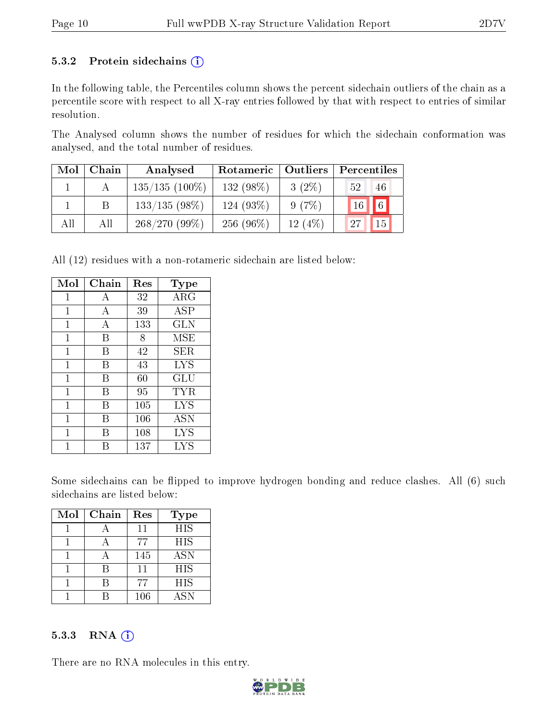#### 5.3.2 Protein sidechains  $(i)$

In the following table, the Percentiles column shows the percent sidechain outliers of the chain as a percentile score with respect to all X-ray entries followed by that with respect to entries of similar resolution.

The Analysed column shows the number of residues for which the sidechain conformation was analysed, and the total number of residues.

| Mol | Chain | Analysed         | Rotameric   Outliers |            | Percentiles           |
|-----|-------|------------------|----------------------|------------|-----------------------|
|     |       | $135/135(100\%)$ | 132 (98%)            | $3(2\%)$   | 46<br>52 <sup>1</sup> |
|     |       | $133/135(98\%)$  | 124 (93%)            | 9(7%)      | 16 6                  |
| All | All   | $268/270(99\%)$  | $256(96\%)$          | 12 $(4\%)$ | 15 <sup>1</sup><br>27 |

All (12) residues with a non-rotameric sidechain are listed below:

| Mol          | Chain | Res | Type              |
|--------------|-------|-----|-------------------|
| $\mathbf{1}$ | А     | 32  | ${\rm ARG}$       |
| 1            | А     | 39  | ASP               |
| 1            | А     | 133 | <b>GLN</b>        |
| 1            | В     | 8   | MSE               |
| 1            | В     | 42  | SER               |
| 1            | В     | 43  | <b>LYS</b>        |
| 1            | В     | 60  | GLU               |
| 1            | В     | 95  | TYR               |
| 1            | В     | 105 | LYS               |
| 1            | В     | 106 | <b>ASN</b>        |
| 1            | R     | 108 | <b>LYS</b>        |
|              |       | 137 | $_{\mathrm{LYS}}$ |

Some sidechains can be flipped to improve hydrogen bonding and reduce clashes. All (6) such sidechains are listed below:

| Mol | Chain | Res | Type       |
|-----|-------|-----|------------|
|     |       | 11  | <b>HIS</b> |
|     |       | 77  | <b>HIS</b> |
|     |       | 145 | <b>ASN</b> |
|     |       | 11  | <b>HIS</b> |
|     |       | 77  | <b>HIS</b> |
|     |       | 106 | ASN        |

#### 5.3.3 RNA [O](https://www.wwpdb.org/validation/2017/XrayValidationReportHelp#rna)i

There are no RNA molecules in this entry.

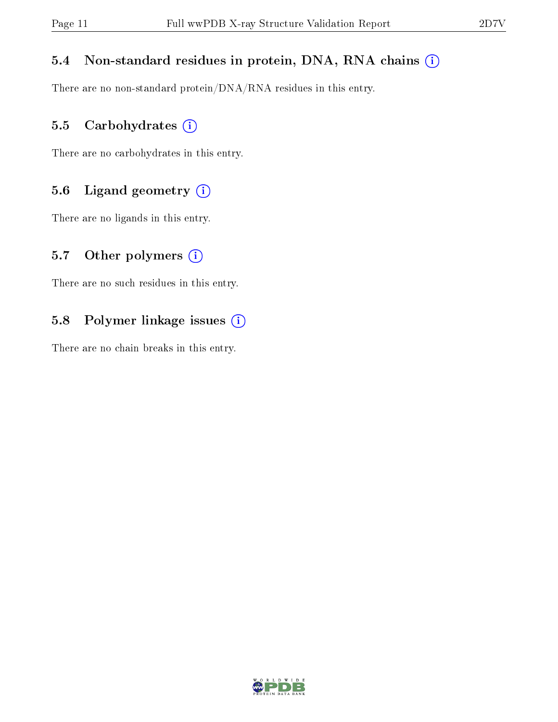#### 5.4 Non-standard residues in protein, DNA, RNA chains (i)

There are no non-standard protein/DNA/RNA residues in this entry.

#### 5.5 Carbohydrates (i)

There are no carbohydrates in this entry.

#### 5.6 Ligand geometry (i)

There are no ligands in this entry.

#### 5.7 [O](https://www.wwpdb.org/validation/2017/XrayValidationReportHelp#nonstandard_residues_and_ligands)ther polymers  $(i)$

There are no such residues in this entry.

#### 5.8 Polymer linkage issues (i)

There are no chain breaks in this entry.

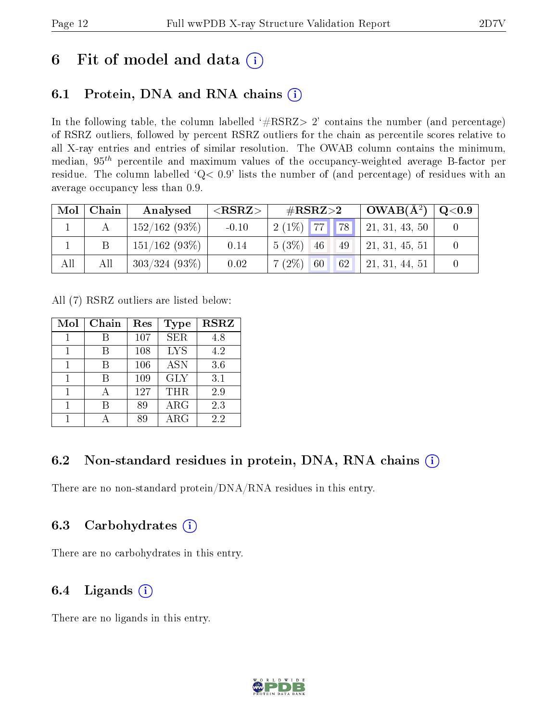## 6 Fit of model and data  $(i)$

### 6.1 Protein, DNA and RNA chains  $(i)$

In the following table, the column labelled  $#RSRZ> 2'$  contains the number (and percentage) of RSRZ outliers, followed by percent RSRZ outliers for the chain as percentile scores relative to all X-ray entries and entries of similar resolution. The OWAB column contains the minimum, median,  $95<sup>th</sup>$  percentile and maximum values of the occupancy-weighted average B-factor per residue. The column labelled ' $Q< 0.9$ ' lists the number of (and percentage) of residues with an average occupancy less than 0.9.

| Mol | Chain | Analysed         | ${ <\hspace{-1.5pt}{\mathrm{RSRZ}} \hspace{-1.5pt}>}$ | $\#\text{RSRZ}{>}2$           | $OWAB(A^2)$        | $\rm Q\mathord{<}0.9$ |
|-----|-------|------------------|-------------------------------------------------------|-------------------------------|--------------------|-----------------------|
|     |       | 152/162(93%)     | $-0.10$                                               | $2(1\%)$ 77 78                | 21, 31, 43, 50     |                       |
|     |       | $151/162(93\%)$  | 0.14                                                  | $5(3\%)$ 46<br>49             | 21, 31, 45, 51     |                       |
| All | All   | $303/324$ (93\%) | 0.02                                                  | $7(2\%)$<br>$\sqrt{60}$<br>62 | $'$ 21, 31, 44, 51 |                       |

All (7) RSRZ outliers are listed below:

| Mol | Chain | Res | Type       | <b>RSRZ</b> |
|-----|-------|-----|------------|-------------|
|     |       | 107 | <b>SER</b> | 4.8         |
| 1   |       | 108 | <b>LYS</b> | 4.2         |
|     |       | 106 | <b>ASN</b> | 3.6         |
| 1   | R     | 109 | <b>GLY</b> | 3.1         |
| 1   |       | 127 | <b>THR</b> | 2.9         |
|     |       | 89  | $\rm{ARG}$ | 2.3         |
|     |       | 89  | ARG        | 2.2         |

#### 6.2 Non-standard residues in protein, DNA, RNA chains  $(i)$

There are no non-standard protein/DNA/RNA residues in this entry.

#### 6.3 Carbohydrates (i)

There are no carbohydrates in this entry.

### 6.4 Ligands  $(i)$

There are no ligands in this entry.